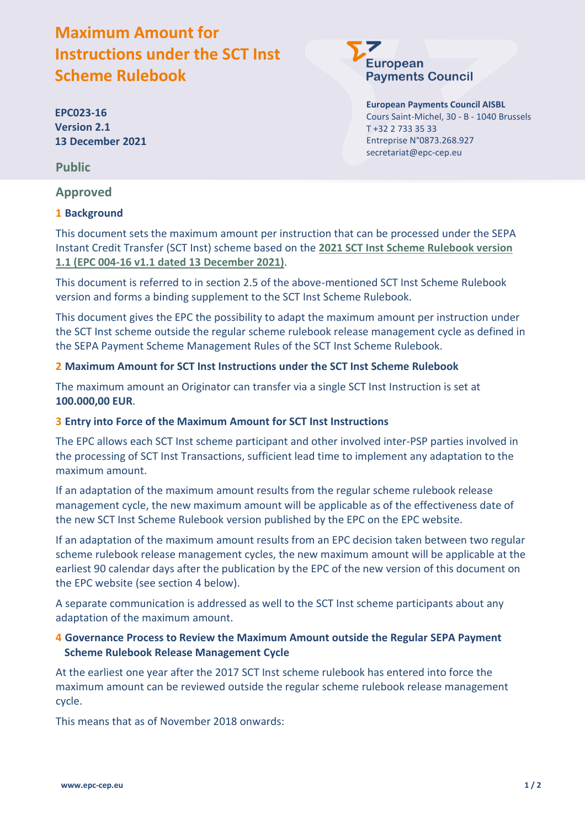# **Maximum Amount for Instructions under the SCT Inst Scheme Rulebook**

**EPC023-16 Version 2.1 13 December 2021**

**Public**

## **Approved**

### **1 Background**

**European Payments Council** 

> **European Payments Council AISBL** Cours Saint-Michel, 30 - B - 1040 Brussels T +32 2 733 35 33 Entreprise N°0873.268.927 secretariat@epc-cep.eu

This document sets the maximum amount per instruction that can be processed under the SEPA Instant Credit Transfer (SCT Inst) scheme based on the **2021 SCT Inst Scheme Rulebook version 1.1 (EPC 004-16 v1.1 dated 13 December 2021)**.

This document is referred to in section 2.5 of the above-mentioned SCT Inst Scheme Rulebook version and forms a binding supplement to the SCT Inst Scheme Rulebook.

This document gives the EPC the possibility to adapt the maximum amount per instruction under the SCT Inst scheme outside the regular scheme rulebook release management cycle as defined in the SEPA Payment Scheme Management Rules of the SCT Inst Scheme Rulebook.

#### **2 Maximum Amount for SCT Inst Instructions under the SCT Inst Scheme Rulebook**

The maximum amount an Originator can transfer via a single SCT Inst Instruction is set at **100.000,00 EUR**.

#### **3 Entry into Force of the Maximum Amount for SCT Inst Instructions**

The EPC allows each SCT Inst scheme participant and other involved inter-PSP parties involved in the processing of SCT Inst Transactions, sufficient lead time to implement any adaptation to the maximum amount.

If an adaptation of the maximum amount results from the regular scheme rulebook release management cycle, the new maximum amount will be applicable as of the effectiveness date of the new SCT Inst Scheme Rulebook version published by the EPC on the EPC website.

If an adaptation of the maximum amount results from an EPC decision taken between two regular scheme rulebook release management cycles, the new maximum amount will be applicable at the earliest 90 calendar days after the publication by the EPC of the new version of this document on the EPC website (see section 4 below).

A separate communication is addressed as well to the SCT Inst scheme participants about any adaptation of the maximum amount.

#### **4 Governance Process to Review the Maximum Amount outside the Regular SEPA Payment Scheme Rulebook Release Management Cycle**

At the earliest one year after the 2017 SCT Inst scheme rulebook has entered into force the maximum amount can be reviewed outside the regular scheme rulebook release management cycle.

This means that as of November 2018 onwards: